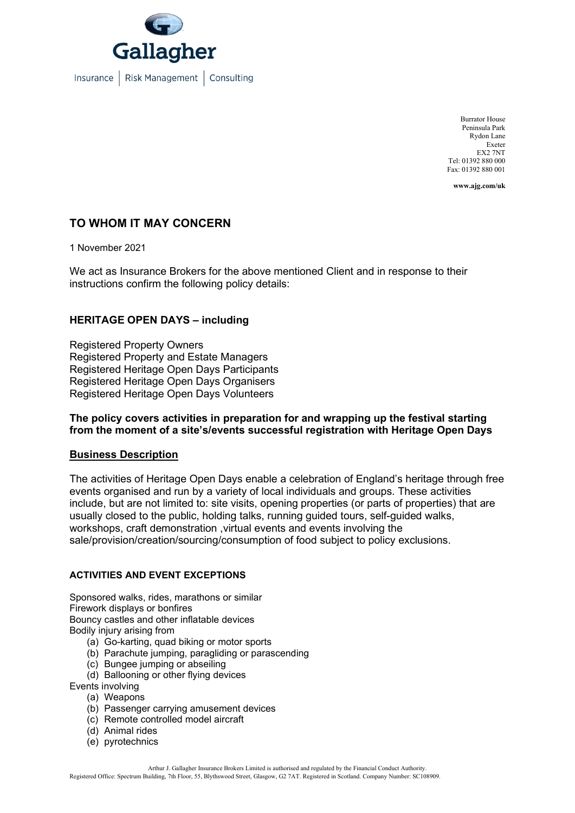

Burrator House Peninsula Park Rydon Lane Exeter EX2 7NT Tel: 01392 880 000 Fax: 01392 880 001

**www.ajg.com/uk**

# **TO WHOM IT MAY CONCERN**

1 November 2021

We act as Insurance Brokers for the above mentioned Client and in response to their instructions confirm the following policy details:

## **HERITAGE OPEN DAYS – including**

Registered Property Owners Registered Property and Estate Managers Registered Heritage Open Days Participants Registered Heritage Open Days Organisers Registered Heritage Open Days Volunteers

### **The policy covers activities in preparation for and wrapping up the festival starting from the moment of a site's/events successful registration with Heritage Open Days**

#### **Business Description**

The activities of Heritage Open Days enable a celebration of England's heritage through free events organised and run by a variety of local individuals and groups. These activities include, but are not limited to: site visits, opening properties (or parts of properties) that are usually closed to the public, holding talks, running guided tours, self-guided walks, workshops, craft demonstration ,virtual events and events involving the sale/provision/creation/sourcing/consumption of food subject to policy exclusions.

#### **ACTIVITIES AND EVENT EXCEPTIONS**

Sponsored walks, rides, marathons or similar Firework displays or bonfires Bouncy castles and other inflatable devices Bodily injury arising from

- (a) Go-karting, quad biking or motor sports
- (b) Parachute jumping, paragliding or parascending
- (c) Bungee jumping or abseiling
- (d) Ballooning or other flying devices
- Events involving
	- (a) Weapons
	- (b) Passenger carrying amusement devices
	- (c) Remote controlled model aircraft
	- (d) Animal rides
	- (e) pyrotechnics